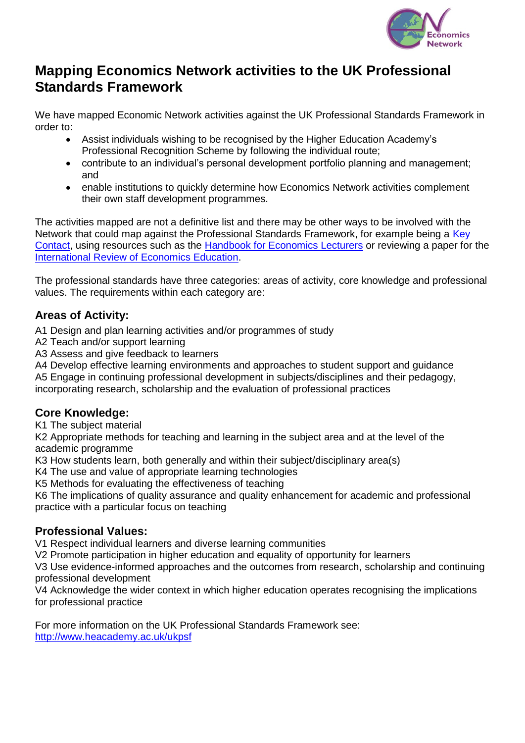

### **Mapping Economics Network activities to the UK Professional Standards Framework**

We have mapped Economic Network activities against the UK Professional Standards Framework in order to:

- Assist individuals wishing to be recognised by the Higher Education Academy's Professional Recognition Scheme by following the individual route;
- contribute to an individual's personal development portfolio planning and management; and
- enable institutions to quickly determine how Economics Network activities complement their own staff development programmes.

The activities mapped are not a definitive list and there may be other ways to be involved with the Network that could map against the Professional Standards Framework, for example being a [Key](http://www.economicsnetwork.ac.uk/contact/keycontacts)  [Contact,](http://www.economicsnetwork.ac.uk/contact/keycontacts) using resources such as the **Handbook for Economics Lecturers** or reviewing a paper for the [International Review of Economics Education.](http://www.economicsnetwork.ac.uk/iree/)

The professional standards have three categories: areas of activity, core knowledge and professional values. The requirements within each category are:

#### **Areas of Activity:**

A1 Design and plan learning activities and/or programmes of study

- A2 Teach and/or support learning
- A3 Assess and give feedback to learners

A4 Develop effective learning environments and approaches to student support and guidance

A5 Engage in continuing professional development in subjects/disciplines and their pedagogy,

incorporating research, scholarship and the evaluation of professional practices

#### **Core Knowledge:**

K1 The subject material

K2 Appropriate methods for teaching and learning in the subject area and at the level of the academic programme

K3 How students learn, both generally and within their subject/disciplinary area(s)

K4 The use and value of appropriate learning technologies

K5 Methods for evaluating the effectiveness of teaching

K6 The implications of quality assurance and quality enhancement for academic and professional practice with a particular focus on teaching

#### **Professional Values:**

V1 Respect individual learners and diverse learning communities

V2 Promote participation in higher education and equality of opportunity for learners

V3 Use evidence-informed approaches and the outcomes from research, scholarship and continuing professional development

V4 Acknowledge the wider context in which higher education operates recognising the implications for professional practice

For more information on the UK Professional Standards Framework see: <http://www.heacademy.ac.uk/ukpsf>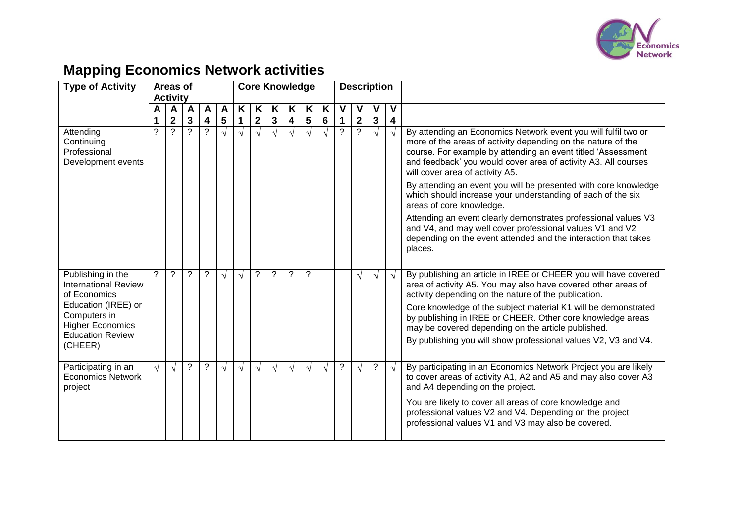

# **Mapping Economics Network activities**

| <b>Type of Activity</b>                                                                                                                                                  |                  | Areas of                      |                |                     |                 | <b>Core Knowledge</b> |                           |                 |                 |                 |            |                     |                               | <b>Description</b> |                 |                                                                                                                                                                                                                                                                                                                                                                                                                                                                                                                                                                                                                                                                              |
|--------------------------------------------------------------------------------------------------------------------------------------------------------------------------|------------------|-------------------------------|----------------|---------------------|-----------------|-----------------------|---------------------------|-----------------|-----------------|-----------------|------------|---------------------|-------------------------------|--------------------|-----------------|------------------------------------------------------------------------------------------------------------------------------------------------------------------------------------------------------------------------------------------------------------------------------------------------------------------------------------------------------------------------------------------------------------------------------------------------------------------------------------------------------------------------------------------------------------------------------------------------------------------------------------------------------------------------------|
|                                                                                                                                                                          |                  | <b>Activity</b>               |                |                     |                 |                       |                           |                 |                 |                 |            |                     |                               |                    |                 |                                                                                                                                                                                                                                                                                                                                                                                                                                                                                                                                                                                                                                                                              |
|                                                                                                                                                                          | Α                | A                             | $\overline{A}$ | A                   | A               | K                     | K                         | Κ               | ĸ               | K               | K          | ٧                   | ۷                             | ۷                  | V               |                                                                                                                                                                                                                                                                                                                                                                                                                                                                                                                                                                                                                                                                              |
| Attending<br>Continuing<br>Professional<br>Development events                                                                                                            | 1<br>$\tilde{?}$ | $\mathbf 2$<br>$\overline{?}$ | 3<br>$\gamma$  | 4<br>$\overline{?}$ | 5<br>$\sqrt{ }$ | $\sqrt{ }$            | $\mathbf{2}$<br>$\sqrt{}$ | 3<br>$\sqrt{ }$ | 4<br>$\sqrt{ }$ | 5<br>$\sqrt{ }$ | 6<br>√     | 1<br>$\overline{?}$ | $\mathbf 2$<br>$\overline{?}$ | 3<br>$\sqrt{}$     | 4<br>$\sqrt{ }$ | By attending an Economics Network event you will fulfil two or<br>more of the areas of activity depending on the nature of the<br>course. For example by attending an event titled 'Assessment<br>and feedback' you would cover area of activity A3. All courses<br>will cover area of activity A5.<br>By attending an event you will be presented with core knowledge<br>which should increase your understanding of each of the six<br>areas of core knowledge.<br>Attending an event clearly demonstrates professional values V3<br>and V4, and may well cover professional values V1 and V2<br>depending on the event attended and the interaction that takes<br>places. |
| Publishing in the<br><b>International Review</b><br>of Economics<br>Education (IREE) or<br>Computers in<br><b>Higher Economics</b><br><b>Education Review</b><br>(CHEER) | ?                | ?                             | $\tilde{?}$    | $\tilde{?}$         | $\sqrt{ }$      | $\sqrt{ }$            | $\overline{?}$            | ?               | $\gamma$        | $\overline{?}$  |            |                     | $\sqrt{ }$                    | $\sqrt{}$          | $\sqrt{ }$      | By publishing an article in IREE or CHEER you will have covered<br>area of activity A5. You may also have covered other areas of<br>activity depending on the nature of the publication.<br>Core knowledge of the subject material K1 will be demonstrated<br>by publishing in IREE or CHEER. Other core knowledge areas<br>may be covered depending on the article published.<br>By publishing you will show professional values V2, V3 and V4.                                                                                                                                                                                                                             |
| Participating in an<br><b>Economics Network</b><br>project                                                                                                               | $\sqrt{ }$       | $\sqrt{ }$                    | $\tilde{?}$    | $\overline{?}$      | $\sqrt{ }$      | $\sqrt{ }$            | $\sqrt{}$                 | $\sqrt{}$       | $\sqrt{ }$      | $\sqrt{ }$      | $\sqrt{ }$ | $\tilde{?}$         | $\sqrt{ }$                    | ?                  | $\sqrt{ }$      | By participating in an Economics Network Project you are likely<br>to cover areas of activity A1, A2 and A5 and may also cover A3<br>and A4 depending on the project.<br>You are likely to cover all areas of core knowledge and<br>professional values V2 and V4. Depending on the project<br>professional values V1 and V3 may also be covered.                                                                                                                                                                                                                                                                                                                            |